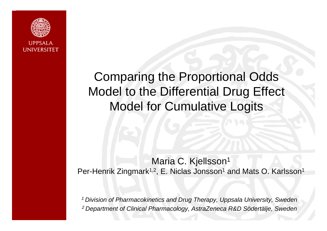

# Comparing the Proportional Odds Model to the Differential Drug Effect Model for Cumulative Logits

### Maria C. Kjellsson<sup>1</sup> Per-Henrik Zingmark<sup>1,2</sup>, E. Niclas Jonsson<sup>1</sup> and Mats O. Karlsson<sup>1</sup>

1 *2 Department of Clinical Pharmacology, AstraZeneca R&D Södertälje, Sweden1 Division of Pharmacokinetics and Drug Therapy, Uppsala University, Sweden*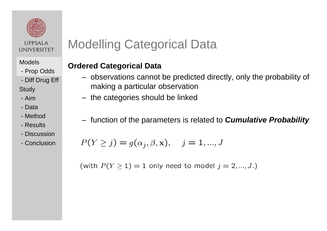

#### Models

- Prop Odds Prop
- Diff Drug Eff

Stud y

- Aim
- Data
- Method
- Results
- Discussion
- Conclusion

# Modelling Categorical Data

#### **Ordered Categorical Data**

- $-$  observations cannot be predicted directly, only the probability of making a particular observation
- the categories should be linked
- function of the parameters is related to *Cumulative Probability*

$$
P(Y \ge j) = g(\alpha_j, \beta, \mathbf{x}), \quad j = 1, ..., J
$$

(with  $P(Y \ge 1) = 1$  only need to model  $j = 2, ..., J$ .)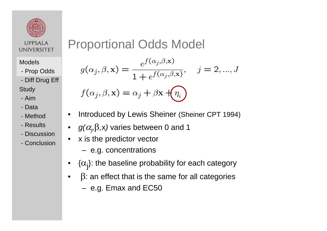

Models

- Prop Odds Prop
- Diff Drug Eff
- Stud y
- Aim
- Data
- Method
- Results
- Discussion
- Conclusion

# Proportional Odds Model

$$
g(\alpha_j, \beta, \mathbf{x}) = \frac{e^{f(\alpha_j, \beta, \mathbf{x})}}{1 + e^{f(\alpha_j, \beta, \mathbf{x})}}, \quad j = 2, ..., J
$$

$$
f(\alpha_j, \beta, \mathbf{x}) = \alpha_j + \beta \mathbf{x} + \boxed{\eta_i}
$$

- •Introduced by Lewis Sheiner (Sheiner CPT 1994)
- ••  $g(\alpha_{j}^{},\beta_{},\mathsf{x})$  varies between 0 and 1
- $\bullet$ x is the predictor vector
	- e.g. concentrations
- • $\{\alpha_{\mathsf{j}}\}$ : the baseline probability for each category
- • $β$ : an effect that is the same for all categories
	- e.g. Emax and EC50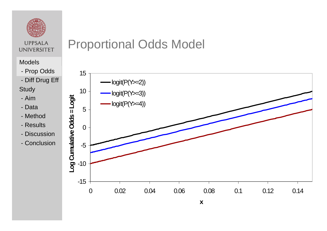

#### Models

- Prop Odds Prop
- Diff Drug Eff
- Stud y
- Aim
- Data
- Method
- Results
- Discus sio n
- Conclusion

# Proportional Odds Model

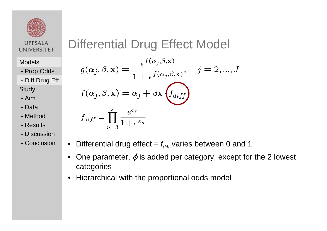

Models

- Prop Odds

- Diff Drug Eff -

Stud y

- Aim
- Data
- Method
- Results
- Discussion- Diff Drug Eff<br>Study<br>- Aim<br>- Data<br>- Method<br>- Results<br>- Discussion
- Conclusion

# Differential Drug Effect Model

$$
g(\alpha_j, \beta, \mathbf{x}) = \frac{e^{f(\alpha_j, \beta, \mathbf{x})}}{1 + e^{f(\alpha_j, \beta, \mathbf{x})}}, \quad j = 2, ..., J
$$
  

$$
f(\alpha_j, \beta, \mathbf{x}) = \alpha_j + \beta \mathbf{x} \left( f_{diff} \right)
$$
  

$$
f_{diff} = \prod_{n=3}^{j} \frac{e^{\phi_n}}{1 + e^{\phi_n}}
$$

- Differential drug effect =  $f_{\sf diff}$  varies between 0 and 1
	- •One parameter,  $\phi$  is added per category, except for the 2 lowest categories
	- •Hierarchical with the proportional odds model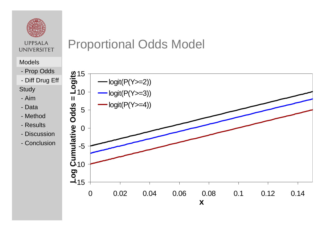

#### Models

- Prop Odds
- Diff Drug Eff -
- Stud y
- Aim
- Data
- Method
- Results
- Discus sio n
- Conclusion

# Proportional Odds Model

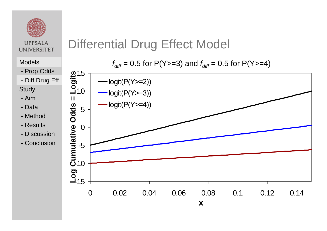

- Prop Odds - Prop Odd<mark>s</mark><br>- Diff Drug Eff
- 

Stud y

- Aim
- Data
- Method
- Results
- Discus sio n
- Conclusion

# Differential Drug Effect Model

Models  $f_{\textit{diff}} = 0.5$  for P(Y>=3) and  $f_{\textit{diff}} = 0.5$  for P(Y>=4)

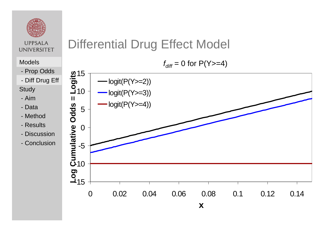

### Models *diff*

- Prop Odds - Prop Odd<mark>s</mark><br>- Diff Drug Eff
- 
- Stud y
- Aim
- Data
- Method
- Results
- Discus sio n
- Conclusion

# Differential Drug Effect Model

*f<sub>diff</sub>* = 0 for P(Y>=4)

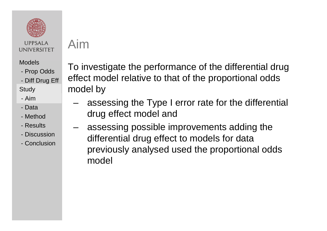

Models

- Prop Odds
- Diff Drug Eff

Stud y Stud y

- Aim
- Data
- Method
- Results
- Discussion
- Conclusion

Aim

To investigate the performance of the differential drug effect model relative to that of the proportional odds model by

- –assessing the Type I error rate for the differential drug effect model and
- assessing possible improvements adding the differential drug effect to models for data previously analysed used the proportional odds model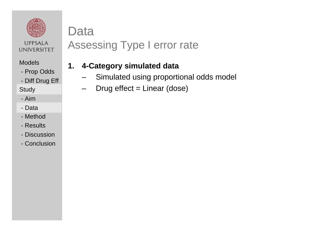

### Data

# Assessing Type I error rate

#### **1.4-Category simulated data**

- –Simulated using proportional odds model
- –Drug effect = Linear (dose)

Models

- Prop Odds

- Diff Drug Eff Study Study

- Aim

- Data
- Method
- Results
- Discussion
- Conclusion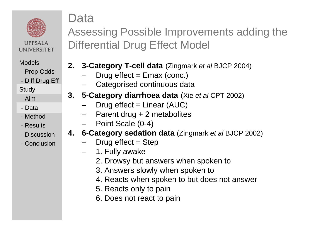

#### Models

- Prop Odds
- Diff Drug Eff

Stud y Study

- Aim
- Data
- Method
- Results
- Discussion
- Conclusion

# Data

Assessing Possible Improvements adding the Differential Drug Effect Model

- **2. 3-Category T-cell data** (Zingmark *et al* BJCP 2004)
	- Drug effect = Emax (conc.)
	- –Categorised continuous data
- **3. 5-Category diarrhoea data** (Xie *et al* CPT 2002)
	- Drug effect = Linear (AUC)
	- Parent drug + 2 metabolites
	- –Point Scale (0-4)
- **4. 6-Category sedation data** (Zingmark *et al* BJCP 2002)
	- Drug effect  $=$  Step
	- –1. Fully awake
		- 2. Drowsy but answers when spoken to
		- 3. Answers slowly when spoken to
		- 4. Reacts when spoken to but does not answer
		- 5. Reacts only to pain
		- 6. Does not react to pain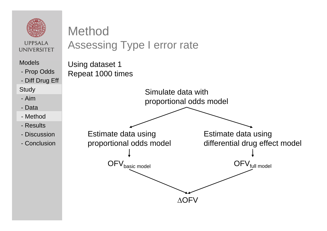

Models

- Prop Odds

- Diff Drug Eff

**Study** 

- Aim
- Data
- Study<br>- Aim<br>- Data<br>- Method
- Results
- Discussion
- Conclusion

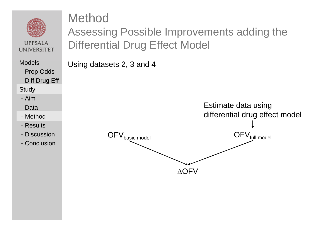

Models

- Prop Odds
- Diff Drug Eff

**Study** 

- Aim
- DataStudy<br>- Aim<br>- Data<br>- Method
- 
- Results
- Discussion
- Conclusion

Assessing Possible Improvements adding the Differential Drug Effect Model

Using datasets 2, 3 and 4

Method

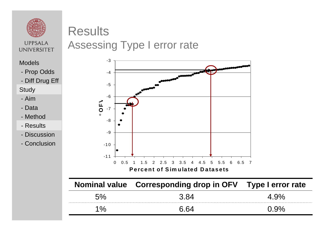

# **Results**

**UPPSALA UNIVERSITET** 

# Assessing Type I error rate

Models

- Prop Odds
- Diff Drug Eff

Study Study

- Aim
- Data
- Method
- Results
- Discussion
- Conclusion



|               | $\frac{1}{2}$ |  |
|---------------|---------------|--|
|               |               |  |
| $\mathbf{O}/$ |               |  |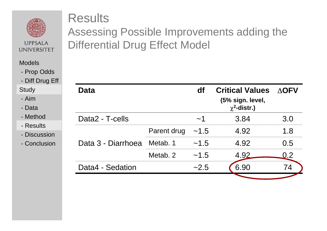

#### **Models**

- Prop Odds
- Diff Drug Eff

- Aim
- Data
- Method
- Results
- Discussion
- Conclusion

### **Results**

### Assessing Possible Improvements adding the Differential Drug Effect Model

| $PIII$ $PIII$                                                                     |                    |                  |             |      |                                                                 |              |
|-----------------------------------------------------------------------------------|--------------------|------------------|-------------|------|-----------------------------------------------------------------|--------------|
| Study<br>- Aim<br>- Data<br>- Method<br>- Results<br>- Discussion<br>- Conclusion |                    | <b>Data</b>      |             | df   | <b>Critical Values</b><br>(5% sign. level,<br>$\chi^2$ -distr.) | $\Delta$ OFV |
|                                                                                   | Data2 - T-cells    |                  | $\sim$ 1    | 3.84 | 3.0                                                             |              |
|                                                                                   |                    |                  | Parent drug | ~1.5 | 4.92                                                            | 1.8          |
|                                                                                   | Data 3 - Diarrhoea | Metab. 1         | ~1.5        | 4.92 | 0.5                                                             |              |
|                                                                                   |                    |                  | Metab. 2    | ~1.5 | 4.92                                                            | 0.2          |
|                                                                                   |                    | Data4 - Sedation |             | ~2.5 | 6.90                                                            | 74           |
|                                                                                   |                    |                  |             |      |                                                                 |              |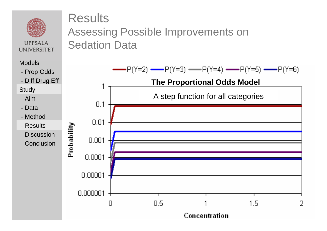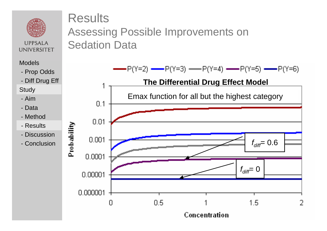

#### Models

- Prop Odds
- Diff Drug Eff

#### Study Study

- Aim
- Data
- Method
- Results
- Discussion
- Conclusion

### **Results** Assessing Possible Improvements on Sedation Data

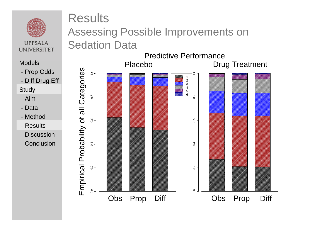

### Results Assessing Possible Improvements on Sedation Data

Predictive Performance

Models

- Prop Odds
- Diff Drug Eff

Stud y Study

- Aim
- Data
- Method
- Results
- Discussion
- Conclusion

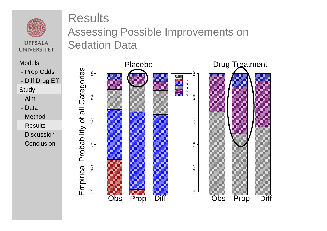

#### Models

- Prop Odds
- Diff Drug Eff

#### Stud y

- Aim
- Data
- Method
- Results
- Discussion
- Conclusion

### Results

### Assessing Possible Improvements on Sedation Data

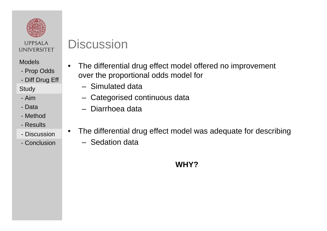

#### Models

- Prop Odds
- Diff Drug Eff

**Study** 

- Aim
- Data
- Method
- Results
- Discussion
- Conclusion

# **Discussion**

- • The differential drug effect model offered no improvement over the proportional odds model for
	- Simulated data
	- Categorised continuous data
	- Diarrhoea data
- • The differential drug effect model was adequate for describing
	- Sedation data

### **WHY?**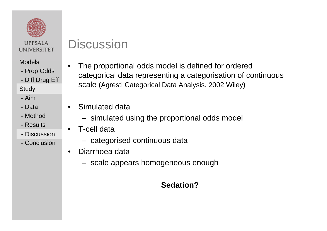

#### Models

- Prop Odds
- Diff Drug Eff

**Study** 

- Aim
- Data
- Method
- Results
- Discussion
- Conclusion

### **Discussion**

- • The proportional odds model is defined for ordered categorical data representing a categorisation of continuous scale (Agresti Categorical Data Analysis. 2002 Wiley)
- • Simulated data
	- simulated using the proportional odds model
- • T-cell data
	- $-$  categorised continuous data
- • Diarrhoea data
	- $\,$  scale appears homogeneous enough

#### **Sedation?**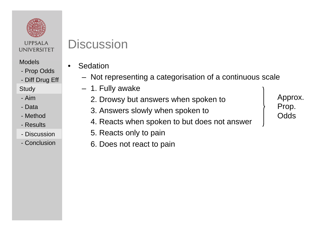

#### Models

- Prop Odds
- Diff Drug Eff

#### **Study**

- Aim
- Data
- Method
- Results
- Discussion
- Conclusion

## **Discussion**

- • Sedation
	- Not representing a categorisation of a continuous scale
	- 1. Fully awake
		- 2. Drowsy but answers when spoken to
		- 3. Answers slowly when spoken to
		- 4. Reacts when spoken to but does not answer
		- 5. Reacts only to pain
			- 6. Does not react to pain

Approx. Prop. **Odds**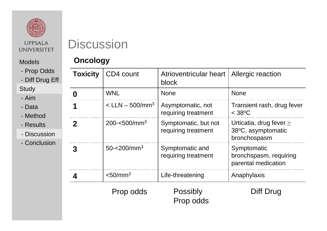

#### Models

- Prop Odds
- Diff Drug Eff

#### **Study**

- Aim
- Data
- Method
- Results
- Discussion Discussion
- Conclusion

# Discussion

#### **Oncology**

| <b>Toxicity</b> | CD4 count                       | Atrioventricular heart<br>block             | Allergic reaction                                                  |
|-----------------|---------------------------------|---------------------------------------------|--------------------------------------------------------------------|
| Ŋ               | <b>WNL</b>                      | <b>None</b>                                 | <b>None</b>                                                        |
| 1               | $<$ LLN $-$ 500/mm <sup>3</sup> | Asymptomatic, not<br>requiring treatment    | Transient rash, drug fever<br>$<$ 38 $\rm ^{o}C$                   |
| $\mathbf 2$     | $200 - 500/mm3$                 | Symptomatic, but not<br>requiring treatment | Urticatia, drug fever $\geq$<br>38°C, asymptomatic<br>bronchospasm |
| 3               | $50 - 200$ /mm <sup>3</sup>     | Symptomatic and<br>requiring treatment      | Symptomatic<br>bronchspasm, requiring<br>parental medication       |
|                 | $<$ 50/mm <sup>3</sup>          | Life-threatening                            | Anaphylaxis                                                        |
|                 | Prop odds                       | Possibly<br>Prop odds                       | Diff Drug                                                          |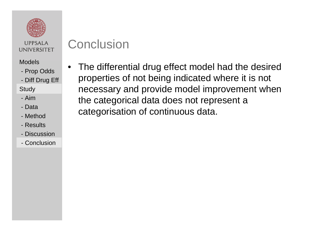

#### Models

- Prop Odds

- Diff Drug Eff

**Study** 

- Aim
- Data
- Method
- Results
- Discussion
- Conclusion

# **Conclusion**

• The differential drug effect model had the desired properties of not being indicated where it is not necessary and provide model improvement when the categorical data does not represent a categorisation of continuous data.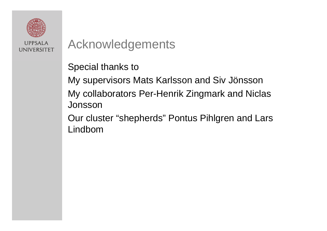

# Acknowledgements

Special thanks to

My supervisors Mats Karlsson and Siv Jönsson My collaborators Per-Henrik Zingmark and Niclas Jonsson

Our cluster "shepherds" Pontus Pihlgren and Lars Lindbom